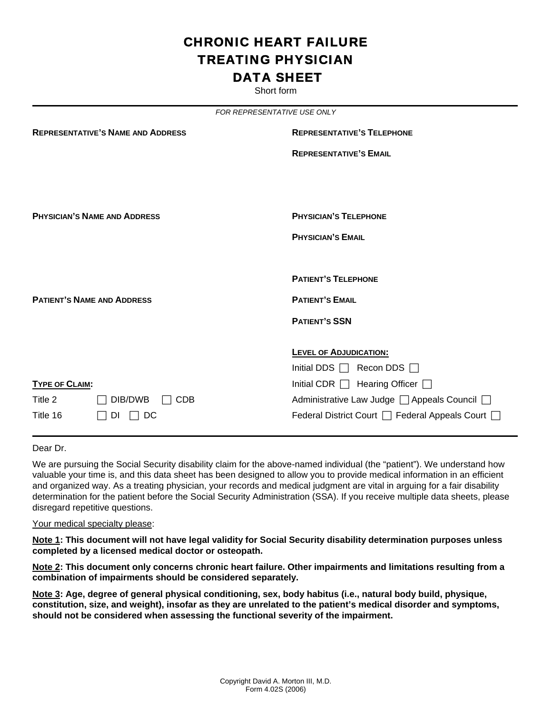# CHRONIC HEART FAILURE TREATING PHYSICIAN DATA SHEET

Short form

| FOR REPRESENTATIVE USE ONLY              |                       |                                                |  |
|------------------------------------------|-----------------------|------------------------------------------------|--|
| <b>REPRESENTATIVE'S NAME AND ADDRESS</b> |                       | <b>REPRESENTATIVE'S TELEPHONE</b>              |  |
|                                          |                       | <b>REPRESENTATIVE'S EMAIL</b>                  |  |
|                                          |                       |                                                |  |
|                                          |                       |                                                |  |
| <b>PHYSICIAN'S NAME AND ADDRESS</b>      |                       | <b>PHYSICIAN'S TELEPHONE</b>                   |  |
|                                          |                       | <b>PHYSICIAN'S EMAIL</b>                       |  |
|                                          |                       |                                                |  |
|                                          |                       | <b>PATIENT'S TELEPHONE</b>                     |  |
| <b>PATIENT'S NAME AND ADDRESS</b>        |                       | <b>PATIENT'S EMAIL</b>                         |  |
|                                          |                       | <b>PATIENT'S SSN</b>                           |  |
|                                          |                       |                                                |  |
|                                          |                       | <b>LEVEL OF ADJUDICATION:</b>                  |  |
|                                          |                       | Initial DDS $\Box$ Recon DDS $\Box$            |  |
| <b>TYPE OF CLAIM:</b>                    |                       | Initial CDR   Hearing Officer                  |  |
| Title 2                                  | DIB/DWB<br><b>CDB</b> | Administrative Law Judge □ Appeals Council □   |  |
| Title 16                                 | DC<br>DI              | Federal District Court   Federal Appeals Court |  |

Dear Dr.

We are pursuing the Social Security disability claim for the above-named individual (the "patient"). We understand how valuable your time is, and this data sheet has been designed to allow you to provide medical information in an efficient and organized way. As a treating physician, your records and medical judgment are vital in arguing for a fair disability determination for the patient before the Social Security Administration (SSA). If you receive multiple data sheets, please disregard repetitive questions.

Your medical specialty please:

**Note 1: This document will not have legal validity for Social Security disability determination purposes unless completed by a licensed medical doctor or osteopath.** 

**Note 2: This document only concerns chronic heart failure. Other impairments and limitations resulting from a combination of impairments should be considered separately.** 

**Note 3: Age, degree of general physical conditioning, sex, body habitus (i.e., natural body build, physique, constitution, size, and weight), insofar as they are unrelated to the patient's medical disorder and symptoms, should not be considered when assessing the functional severity of the impairment.**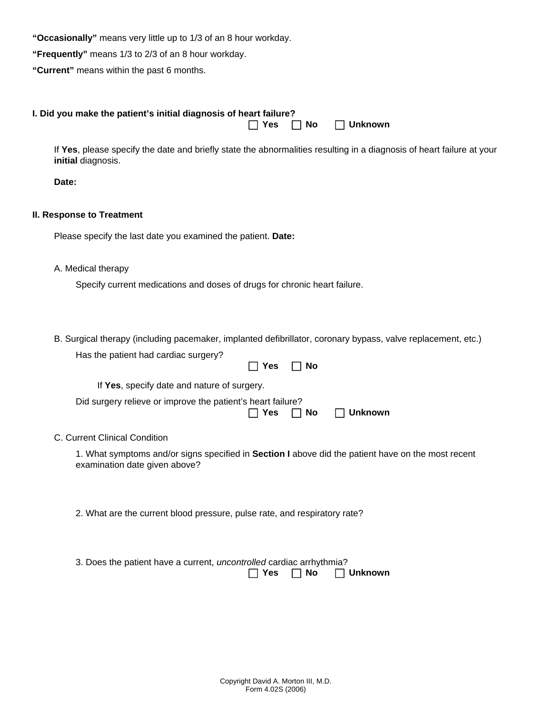**"Occasionally"** means very little up to 1/3 of an 8 hour workday.

**"Frequently"** means 1/3 to 2/3 of an 8 hour workday.

**"Current"** means within the past 6 months.

|       | I. Did you make the patient's initial diagnosis of heart failure?<br>No<br><b>Unknown</b><br>Yes                                            |
|-------|---------------------------------------------------------------------------------------------------------------------------------------------|
|       | If Yes, please specify the date and briefly state the abnormalities resulting in a diagnosis of heart failure at your<br>initial diagnosis. |
| Date: |                                                                                                                                             |
|       | II. Response to Treatment                                                                                                                   |
|       | Please specify the last date you examined the patient. Date:                                                                                |
|       | A. Medical therapy                                                                                                                          |
|       | Specify current medications and doses of drugs for chronic heart failure.                                                                   |
|       | B. Surgical therapy (including pacemaker, implanted defibrillator, coronary bypass, valve replacement, etc.)                                |
|       | Has the patient had cardiac surgery?                                                                                                        |
|       | Yes<br>No<br>$\blacksquare$                                                                                                                 |
|       | If Yes, specify date and nature of surgery.                                                                                                 |
|       | Did surgery relieve or improve the patient's heart failure?<br><b>Unknown</b><br>Yes<br>No                                                  |
|       | C. Current Clinical Condition                                                                                                               |
|       | 1. What symptoms and/or signs specified in Section I above did the patient have on the most recent<br>examination date given above?         |
|       |                                                                                                                                             |
|       | 2. What are the current blood pressure, pulse rate, and respiratory rate?                                                                   |
|       | 3. Does the patient have a current, uncontrolled cardiac arrhythmia?<br><b>Yes</b><br>No<br><b>Unknown</b>                                  |
|       |                                                                                                                                             |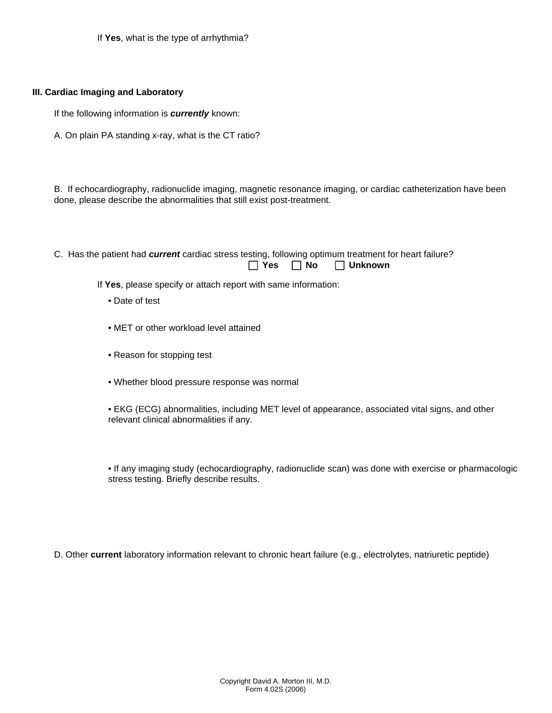If **Yes**, what is the type of arrhythmia?

### **III. Cardiac Imaging and Laboratory**

If the following information is *currently* known:

A. On plain PA standing x-ray, what is the CT ratio?

B. If echocardiography, radionuclide imaging, magnetic resonance imaging, or cardiac catheterization have been done, please describe the abnormalities that still exist post-treatment.

C. Has the patient had *current* cardiac stress testing, following optimum treatment for heart failure? F **Yes** F **No** F **Unknown** 

If **Yes**, please specify or attach report with same information:

- Date of test
- MET or other workload level attained
- Reason for stopping test
- Whether blood pressure response was normal
- EKG (ECG) abnormalities, including MET level of appearance, associated vital signs, and other relevant clinical abnormalities if any.

• If any imaging study (echocardiography, radionuclide scan) was done with exercise or pharmacologic stress testing. Briefly describe results.

D. Other **current** laboratory information relevant to chronic heart failure (e.g., electrolytes, natriuretic peptide)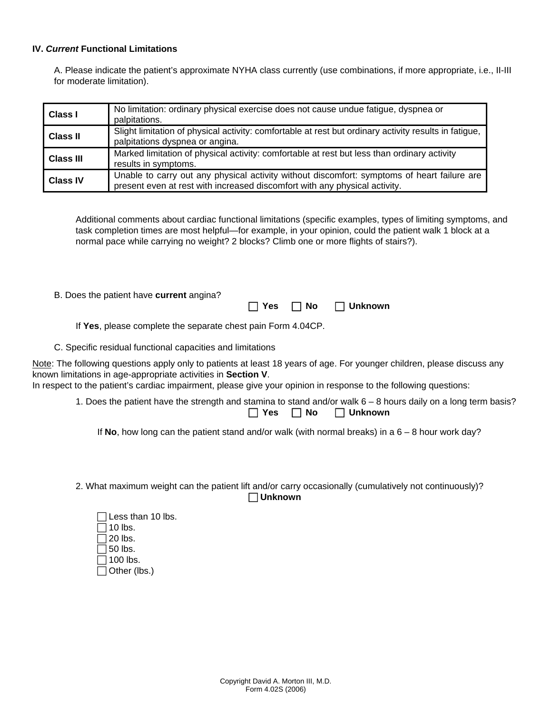#### **IV.** *Current* **Functional Limitations**

A. Please indicate the patient's approximate NYHA class currently (use combinations, if more appropriate, i.e., II-III for moderate limitation).

| <b>Class I</b>   | No limitation: ordinary physical exercise does not cause undue fatigue, dyspnea or<br>palpitations.                                                                       |
|------------------|---------------------------------------------------------------------------------------------------------------------------------------------------------------------------|
| <b>Class II</b>  | Slight limitation of physical activity: comfortable at rest but ordinary activity results in fatigue,<br>palpitations dyspnea or angina.                                  |
| <b>Class III</b> | Marked limitation of physical activity: comfortable at rest but less than ordinary activity<br>results in symptoms.                                                       |
| <b>Class IV</b>  | Unable to carry out any physical activity without discomfort: symptoms of heart failure are<br>present even at rest with increased discomfort with any physical activity. |

Additional comments about cardiac functional limitations (specific examples, types of limiting symptoms, and task completion times are most helpful—for example, in your opinion, could the patient walk 1 block at a normal pace while carrying no weight? 2 blocks? Climb one or more flights of stairs?).

B. Does the patient have **current** angina?

| $\Box$ Yes | $\Box$ No | $\Box$ Unknown |
|------------|-----------|----------------|
|            |           |                |

If **Yes**, please complete the separate chest pain Form 4.04CP.

C. Specific residual functional capacities and limitations

Note: The following questions apply only to patients at least 18 years of age. For younger children, please discuss any known limitations in age-appropriate activities in **Section V**.

In respect to the patient's cardiac impairment, please give your opinion in response to the following questions:

1. Does the patient have the strength and stamina to stand and/or walk 6 – 8 hours daily on a long term basis? F **Yes** F **No** F **Unknown** 

If **No**, how long can the patient stand and/or walk (with normal breaks) in a 6 – 8 hour work day?

2. What maximum weight can the patient lift and/or carry occasionally (cumulatively not continuously)? F **Unknown** 

| $\Box$ Less than 10 lbs. |
|--------------------------|
| $\Box$ 10 lbs.           |
| $\Box$ 20 lbs.           |
| $\Box$ 50 lbs.           |
| $\Box$ 100 lbs.          |
| $\Box$ Other (lbs.)      |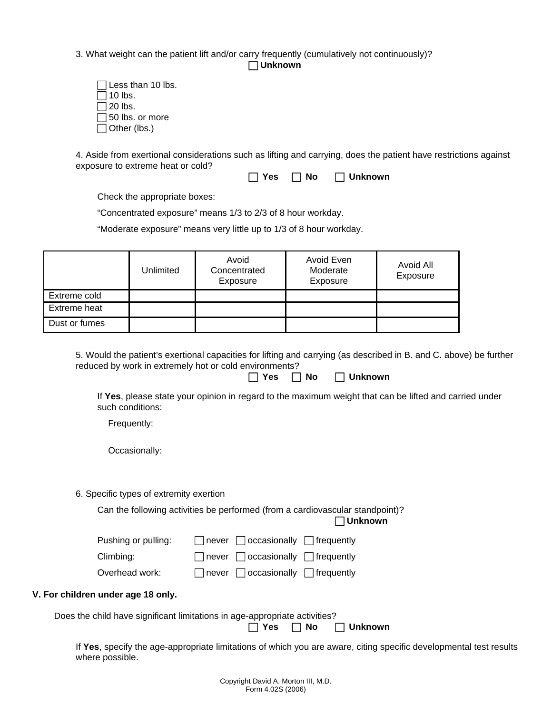3. What weight can the patient lift and/or carry frequently (cumulatively not continuously)?

F **Unknown** 

| $\Box$ Less than 10 lbs. |
|--------------------------|
| $\Box$ 10 lbs.           |
| $\Box$ 20 lbs.           |
| $\Box$ 50 lbs. or more   |
| $\Box$ Other (lbs.)      |

4. Aside from exertional considerations such as lifting and carrying, does the patient have restrictions against exposure to extreme heat or cold?

| $\Box$ Yes | $\Box$ No | $\Box$ Unknown |
|------------|-----------|----------------|
|------------|-----------|----------------|

Check the appropriate boxes:

"Concentrated exposure" means 1/3 to 2/3 of 8 hour workday.

"Moderate exposure" means very little up to 1/3 of 8 hour workday.

|               | Unlimited | Avoid<br>Concentrated<br>Exposure | Avoid Even<br>Moderate<br>Exposure | Avoid All<br>Exposure |
|---------------|-----------|-----------------------------------|------------------------------------|-----------------------|
| Extreme cold  |           |                                   |                                    |                       |
| Extreme heat  |           |                                   |                                    |                       |
| Dust or fumes |           |                                   |                                    |                       |

5. Would the patient's exertional capacities for lifting and carrying (as described in B. and C. above) be further reduced by work in extremely hot or cold environments?

|  | $\Box$ Yes | $\Box$ No | $\Box$ Unknown |
|--|------------|-----------|----------------|
|--|------------|-----------|----------------|

If **Yes**, please state your opinion in regard to the maximum weight that can be lifted and carried under such conditions:

Frequently:

Occasionally:

6. Specific types of extremity exertion

Can the following activities be performed (from a cardiovascular standpoint)?

F **Unknown** 

| Pushing or pulling: | $\Box$ never $\Box$ occasionally $\Box$ frequently |  |
|---------------------|----------------------------------------------------|--|
| Climbing:           | $\Box$ never $\Box$ occasionally $\Box$ frequently |  |

Overhead work:  $\Box$  never  $\Box$  occasionally  $\Box$  frequently

## **V. For children under age 18 only.**

Does the child have significant limitations in age-appropriate activities?

F **Yes** F **No** F **Unknown** 

If **Yes**, specify the age-appropriate limitations of which you are aware, citing specific developmental test results where possible.